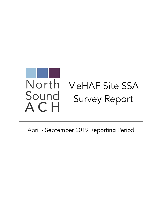

April - September 2019 Reporting Period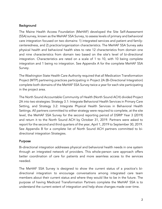# **Background**

The Maine Health Access Foundation (MeHAF) developed the Site Self-Assessment (SSA) survey, known as the MeHAF SSA Survey, to assess levels of primary and behavioral care integration focused on two domains: 1) integrated services and patient and familycenteredness, and 2) practice/organization characteristics. The MeHAF SSA Survey asks physical health and behavioral health sites to rate 12 characteristics from domain one and nine characteristics from domain two based on the site's level of bi-directional integration. Characteristics are rated on a scale of 1 to 10, with 10 being complete integration and 1 being no integration. See Appendix A for the complete MeHAF SSA Survey.

The Washington State Health Care Authority required that all Medication Transformation Project (MTP) partnering practices participating in Project 2A (Bi-Directional Integration) complete both domains of the MeHAF SSA Survey twice a year for each site participating in the project area.

The North Sound Accountable Community of Health (North Sound ACH) divided Project 2A into two strategies: Strategy 3.1: Integrate Behavioral Health Services in Primary Care Setting, and Strategy 3.2: Integrate Physical Health Services in Behavioral Health Settings. All partners committed to either strategy were required to complete, at the site level, the MeHAF SSA Survey for the second reporting period of DSRIP Year 3 (2019) and return it to the North Sound ACH by October 31, 2019. Partners were asked to report for the second and third quarters of the year, April 1, 2019 to September 30, 2019. See Appendix B for a complete list of North Sound ACH partners committed to bidirectional integration Strategies.

### Purpose

Bi-directional integration addresses physical and behavioral health needs in one system through an integrated network of providers. This whole-person care approach offers better coordination of care for patients and more seamless access to the services needed.

The MeHAF SSA Survey is designed to show the current status of a practice's bidirectional integration to encourage conversations among integrated care team members about their current status and where they would like to be in the future. The purpose of having Medicaid Transformation Partners complete the MeHAF SSA is to understand the current extent of integration and help show changes made over time.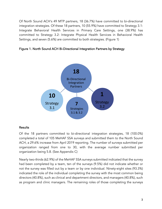Of North Sound ACH's 49 MTP partners, 18 (36.7%) have committed to bi-directional integration strategies. Of these 18 partners, 10 (55.9%) have committed to Strategy 3.1: Integrate Behavioral Health Services in Primary Care Settings, one (38.9%) has committed to Strategy 3.2: Integrate Physical Health Services in Behavioral Health Settings, and seven (5.6%) are committed to both strategies. (Figure 1)





### Results

Of the 18 partners committed to bi-directional integration strategies, 18 (100.0%) completed a total of 105 MeHAF SSA surveys and submitted them to the North Sound ACH, a 29.6% increase from April 2019 reporting. The number of surveys submitted per organization ranged from one to 30, with the average number submitted per organization being 5.8. (See Appendix C)

Nearly two-thirds (62.9%) of the MeHAF SSA surveys submitted indicated that the survey had been completed by a team, ten of the surveys (9.5%) did not indicate whether or not the survey was filled out by a team or by one individual. Ninety-eight sites (93.3%) indicated the role of the individual completing the survey with the most common being directors (40.8%), such as clinical and department directors, and managers (40.8%), such as program and clinic managers. The remaining roles of those completing the surveys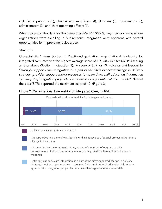included supervisors (5), chief executive officers (4), clinicians (3), coordinators (3), administrators (2), and chief operating officers (1).

When reviewing the data for the completed MeHAF SSA Surveys, several areas where organizations were excelling in bi-directional integration were apparent, and several opportunities for improvement also arose.

# *Strengths*

Characteristic 1 from Section II: Practice/Organization, organizational leadership for integrated care, received the highest average score of 6.7, with 49 sites (47.1%) scoring an 8 or above (Section II, Question 1). A score of 8, 9, or 10 indicates that leadership "*strongly supports care integration as a part of the site's expected change in delivery strategy; provides support and/or resources for team time, staff education, information systems, etc.; integration project leaders viewed as organizational role models*." Nine of the sites (8.7%) reported the maximum score of 10. (Figure 2)



# Figure 2. Organizational Leadership for Integrated Care, n=104.

...does not exist or shows little interest

...is supportive in a general way, but views this initiative as a 'special project' rather than a change in usual care

...is provided by senior administrators, as one of a number of ongoing quality improvement initiatives; few internal resources supplied (such as staff time for team meetings)

...strongly supports care integration as a part of the site's expected change in delivery strategy; provides support and/or resources for team time, staff education, information systems, etc.; integration project leaders viewed as organizational role models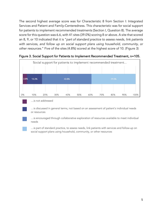The second highest average score was for Characteristic 8 from Section I: Integrated Services and Patient and Family-Centeredness. This characteristic was for social support for patients to implement recommended treatments (Section I, Question 8). The average score for this question was 6.6, with 41 sites (39.0%) scoring 8 or above. A site that scored an 8, 9, or 10 indicated that it is "*part of standard practice to assess needs, link patients*  with services, and follow up on social support plans using household, community, or *other resources*." Five of the sites (4.8%) scored at the highest score of 10. (Figure 3)



Figure 3. Social Support for Patients to Implement Recommended Treatment, n=105.



…is not addressed

…is discussed in general terms, not based on an assessment of patient's individual needs or resources

…is encouraged through collaborative exploration of resources available to meet individual needs



…is part of standard practice, to assess needs, link patients with services and follow-up on social support plans using household, community, or other resources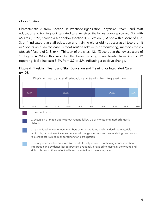# *Opportunities*

Characteristic 8 from Section II: Practice/Organization, physician, team, and staff education and training for integrated care, received the lowest average score of 3.9, with 66 sites (62.9%) scoring a 4 or below (Section II, Question 8). A site with a score of 1, 2, 3, or 4 indicated that staff education and training either did not occur at all (score of 1) or "*occurs on a limited basis without routine follow-up or monitoring; methods mostly didactic*" (score of 2, 3, or 4). Thirteen of the sites (12.4%) scored at the lowest score of 1. (Figure 4) While this was also the lowest scoring characteristic from April 2019 reporting, it did increase 5.4% from 3.7 to 3.9, indicating a positive change.

# Figure 4. Physician, Team, and Staff Education and Training for Integrated Care, n=105.





…does not occur

…occurs on a limited basis without routine follow-up or monitoring; methods mostly didactic

… is provided for some team members using established and standardized materials, protocols, or curricula; includes behavioral change methods such as modeling practice for role changes; training monitored for staff participation

…is supported and incentivized by the site for all providers; continuing education about integration and evidence-based practice is routinely provided to maintain knowledge and skills; job descriptions reflect skills and orientation to care integration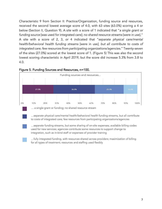Characteristic 9 from Section II: Practice/Organization, funding source and resources, received the second lowest average score of 4.0, with 63 sites (63.0%) scoring a 4 or below (Section II, Question 9). A site with a score of 1 indicated that "*a single grant or funding source* [was used for integrated care]; *no shared resource streams* [were in use]." A site with a score of 2, 3, or 4 indicated that "*separate physical care/mental health/behavioral health funding streams* [were in use*], but all contribute to costs of integrated care; few resources from participating organizations/agencies*." Twenty-seven of the sites (27.0%) scored at the lowest score of 1. (Figure 5) This was also the second lowest scoring characteristic in April 2019, but the score did increase 5.3% from 3.8 to 4.0.



#### Figure 5. Funding Sources and Resources, n=100.



… a single grant or funding; no shared resource stream

…separate physical care/mental health/behavioral health funding streams, but all contribute to costs of integrated care; few resources from participating organizations/agencies



…separate funding streams, but some sharing of on-site expenses; available billing codes used for new services; agencies contribute some resources to support change to integration, such as in-kind staff or expenses of provider training

…fully integrated funding, with resources shared across providers; maximization of billing for all types of treatment; resources and staffing used flexibly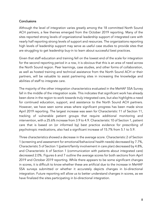### **Conclusions**

Although the level of integration varies greatly among the 18 committed North Sound ACH partners, a few themes emerged from the October 2019 reporting. Many of the sites reported strong levels of organizational leadership support of integrated care with nearly half reporting strong levels of support and resources. The organizations reporting high levels of leadership support may serve as useful case studies to provide sites that are struggling to get leadership buy-in to learn about successful best practices.

Given that staff education and training fell on the lowest end of the scale for integration for the second reporting period in a row, it is obvious that this is an area of need across the North Sound region. Peer learnings, case studies, and other forms of collaboration, as well as hosted training and technical assistance from the North Sound ACH or their partners, will be valuable to assist partnering sites in increasing the knowledge and abilities of staff to integrate care.

The majority of the other integration characteristics evaluated in the MeHAF SSA Survey fall in the middle of the integration scale. This indicates that significant work has already been done in the region to work towards truly integrated care, but also highlights a need for continued education, support, and assistance to the North Sound ACH partners. However, we have seen some areas where significant progress has been made since April 2019 reporting. The largest increase was seen for Characteristic 11 of Section 11, tracking of vulnerable patient groups that require additional monitoring and intervention, with a 25.6% increase from 3.9 to 4.9. Characteristic 10 of Section 1, patient care that is based on (or informed by) best practice evidence for prescribing of psychotropic medications, also had a significant increase of 15.7% from 5.1 to 5.9.

Three characteristics showed a decrease in the average score. Characteristic 2 of Section 1 (screening and assessment for emotional/behavioral health needs) decreased by 7.7%, Characteristic 5 of Section 1 (patient/family involvement in care plan) decreased by 4.8%, and Characteristic 6 of Section 1 (communication with patients about integrated care) decreased 2.0%. Figures 6 and 7 outline the average scores for both sections from April 2019 and October 2019 reporting. While there appears to be some significant changes in scores, it is difficult to know whether these are artificial due to the increase in MeHAF SSA surveys submitted or whether it accurately depicts changes in bi-directional integration. Future reporting will allow us to better understand changes in scores, as we have finalized the sites participating in bi-directional integration.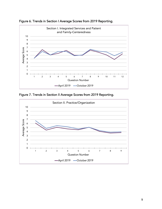

Figure 6. Trends in Section I Average Scores from 2019 Reporting.

Figure 7. Trends in Section II Average Scores from 2019 Reporting.

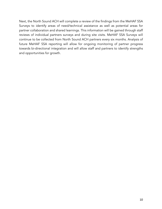Next, the North Sound ACH will complete a review of the findings from the MeHAF SSA Surveys to identify areas of need/technical assistance as well as potential areas for partner collaboration and shared learnings. This information will be gained through staff reviews of individual partners surveys and during site visits. MeHAF SSA Surveys will continue to be collected from North Sound ACH partners every six months. Analysis of future MeHAF SSA reporting will allow for ongoing monitoring of partner progress towards bi-directional integration and will allow staff and partners to identify strengths and opportunities for growth.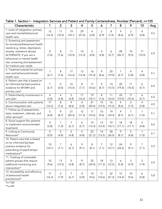| ັ<br>Characteristic                                                                                                                                                                                                                                  | 1                       | $\overline{2}$          | 3                       | 4                       | 5                       | 6                       | 7            | 8                       | 9                       | . .<br>10               | Avg |
|------------------------------------------------------------------------------------------------------------------------------------------------------------------------------------------------------------------------------------------------------|-------------------------|-------------------------|-------------------------|-------------------------|-------------------------|-------------------------|--------------|-------------------------|-------------------------|-------------------------|-----|
| 1. Level of integration; primary<br>care and mental/behavioral<br>health care                                                                                                                                                                        | 15<br>(14.3)            | 11<br>(10.5)            | 19<br>(18.1)            | 29<br>(27.6)            | $\overline{4}$<br>(3.8) | 3<br>(2.9)              | 8<br>(7.6)   | 9<br>(8.6)              | 3<br>(2.9)              | 4<br>(3.8)              | 4.2 |
| 2. Screening and assessment<br>for emotional/behavioral health<br>needs (e.g. stress, depression,<br>anxiety, substance abuse)<br>ALTERNATE: If you are a<br>behavioral or mental health<br>site, screening and assessment<br>for medical care needs | 8<br>(7.6)              | 8<br>(7.6)              | 11<br>(10.5)            | 14<br>(13.3)            | 5<br>(4.8)              | 4<br>(3.8)              | 6<br>(5.7)   | 28<br>(26.7)            | 10<br>(9.5)             | 11<br>(10.5)            | 6.0 |
| 3. Treatment plan(s) for primary<br>care and behavioral/mental<br>health care                                                                                                                                                                        | $\overline{7}$<br>(6.7) | 8<br>(7.6)              | 17<br>(16.2)            | 13<br>(12.4)            | 16<br>(15.2)            | 9<br>(8.6)              | 20<br>(19.0) | $\overline{7}$<br>(6.7) | 4<br>(3.8)              | 4<br>(3.8)              | 5.1 |
| 4. Patient care that is based on<br>(or informed by) best practice<br>evidence for BH/MH and<br>primary care*                                                                                                                                        | $\overline{7}$<br>(6.7) | 0<br>(0.0)              | 16<br>(15.4)            | 8<br>(7.7)              | 11<br>(10.6)            | 9<br>(8.7)              | 14<br>(13.5) | 20<br>(19.0)            | 11<br>(10.5)            | 6<br>(5.7)              | 6.0 |
| 5. Patient/family involvement in<br>care plan                                                                                                                                                                                                        | $\overline{4}$<br>(3.8) | $\overline{4}$<br>(3.8) | 5<br>(4.8)              | 17<br>(16.2)            | 19<br>(18.1)            | 8<br>(7.6)              | 11<br>(10.5) | 20<br>(19.0)            | 11<br>(10.5)            | 6<br>(5.7)              | 6.0 |
| 6. Communication with patients<br>about integrated care                                                                                                                                                                                              | 17<br>(16.2)            | 8<br>(7.6)              | 9<br>(8.6)              | $\overline{4}$<br>(3.8) | 21<br>(20.0)            | 15<br>(14.3)            | 16<br>(15.2) | 9<br>(8.6)              | $\overline{2}$<br>(1.9) | 4<br>(3.8)              | 4.9 |
| 7. Follow-up of assessments,<br>tests, treatment, referrals, and<br>other services*                                                                                                                                                                  | 5<br>(4.8)              | 9<br>(8.7)              | 21<br>(20.2)            | 12<br>(11.5)            | 11<br>(10.6)            | 10<br>(9.6)             | 19<br>(18.3) | 9<br>(8.7)              | $\overline{7}$<br>(6.7) | 1<br>(1.0)              | 5.1 |
| 8. Social support (for patients<br>to implement recommended<br>treatment)                                                                                                                                                                            | 4<br>(3.8)              | $\mathbf{1}$<br>(1.0)   | $\overline{7}$<br>(6.7) | 6<br>(5.7)              | 14<br>(13.3)            | 13<br>(12.4)            | 19<br>(18.1) | 18<br>(17.1)            | 18<br>(17.1)            | 5<br>(4.8)              | 6.6 |
| 9. Linking to Community<br>Resources*                                                                                                                                                                                                                | $\overline{0}$<br>(0.0) | 5<br>(4.8)              | 5<br>(4.8)              | 5<br>(4.8)              | 22<br>(21.2)            | 14<br>(13.5)            | 38<br>(36.5) | 9<br>(8.7)              | 5<br>(4.8)              | 1<br>(1.0)              | 6.1 |
| 10. Patient care that is based<br>on (or informed by) best<br>practice evidence for<br>prescribing of psychotropic<br>medications**                                                                                                                  | 10<br>(10.1)            | $\overline{7}$<br>(7.1) | 6<br>(6.1)              | 9<br>(9.1)              | 8<br>(8.1)              | $\overline{7}$<br>(7.1) | 12<br>(12.1) | 24<br>(24.2)            | 9<br>(9.1)              | 7<br>(7.1)              | 5.9 |
| 11. Tracking of vulnerable<br>patient groups that require<br>additional monitoring and<br>intervention*                                                                                                                                              | 10<br>(9.6)             | 13<br>(12.5)            | 5<br>(4.8)              | 9<br>(8.7)              | 25<br>(24.0)            | 18<br>(17.3)            | 13<br>(12.5) | 6<br>(5.8)              | 3<br>(2.9)              | $\overline{2}$<br>(1.9) | 4.9 |
| 12. Accessibility and efficiency<br>of behavioral health<br>practitioners*                                                                                                                                                                           | 17<br>(16.3)            | $\overline{2}$<br>(1.9) | 7<br>(6.7)              | 4<br>(3.8)              | 10<br>(9.6)             | 11<br>(10.6)            | 22<br>(21.2) | 15<br>(14.4)            | 10<br>(9.6)             | 6<br>(5.8)              | 5.8 |

# Table 1. Section I - Integration Services and Patient and Family-Centeredness, Number (Percent), n=105

 $*$ n=104

\*\*n=99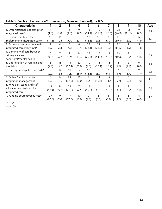| Characteristic                   | 1      | $\overline{2}$ | 3      | $\overline{4}$ | 5      | 6      | 7      | 8      | 9              | 10    | Avg |
|----------------------------------|--------|----------------|--------|----------------|--------|--------|--------|--------|----------------|-------|-----|
| 1. Organizational leadership for | 1      | 1              | 5      | 9              | 15     | 12     | 11     | 28     | 12             | 9     | 6.7 |
| integrated care*                 | (1.9)  | (1.0)          | (4.8)  | (8.7)          | (14.4) | (11.5) | (10.6) | (26.9) | (11.5)         | (8.7) |     |
| 2. Patient care team for         | 12     | 11             | 8      | 23             | 13     | 10     | 8      | 11     | 3              | 5     | 4.8 |
| implementing integrated care*    | (11.5) | (10.6)         | (7.7)  | (22.1)         | (12.5) | (9.6)  | (7.7)  | (10.6) | (2.9)          | (4.8) |     |
| 3. Providers' engagement with    | 7      | 4              | 8      | 8              | 23     | 22     | 13     | 12     | $\mathcal{P}$  | 5     | 5.5 |
| integrated care ("buy-in")*      | (6.7)  | (3.8)          | (7.7)  | (7.7)          | (22.1) | (21.2) | (12.5) | (11.5) | (1.9)          | (4.8) |     |
| 4. Continuity of care between    | 5      | 7              | 9      | 14             | 27     | 15     | 11     | 13     | 3              |       |     |
| primary care and                 | (4.8)  | (6.7)          | (8.6)  | (13.3)         | (25.7) | (14.3) | (10.5) | (12.4) | (2.9)          | (1.0) | 5.2 |
| behavioral/mental health         |        |                |        |                |        |        |        |        |                |       |     |
| 5. Coordination of referrals and | 3      | 15             | 13     | 22             | 10     | 18     | 16     | 6      | $\overline{2}$ | 0     | 4.7 |
| specialists                      | (2.9)  | (14.3)         | (12.4) | (21.0)         | (9.5)  | (17.1) | (15.2) | (5.7)  | (1.9)          | (0.0) |     |
| 6. Data systems/patient records* | 3      | 14             | 10     | 27             | 13     | 9      | 5      | 7      | 7              | 9     | 5.1 |
|                                  | (2.9)  | (13.5)         | (9.6)  | (26.0)         | (12.5) | (8.7)  | (4.8)  | (6.7)  | (6.7)          | (8.7) |     |
| 7. Patient/family input to       | 3      | 14             | 29     | 20             | 9      | 11     | 12     | 6      | $\Omega$       | 1     |     |
| integration management           | (2.9)  | (13.3)         | (27.6) | (19.0)         | (8.6)  | (10.5) | (11.4) | (5.7)  | (0.0)          | (1.0) | 4.3 |
| 8. Physician, team, and staff    | 13     | 24             | 22     | 7              | 16     | 4      | 11     | 4      | 3              |       |     |
| education and training for       | (12.4) | (22.9)         | (21.0) | (6.7)          | (15.2) | (3.8)  | (10.5) | (3.8)  | (2.9)          | (1.0) | 3.9 |
| integrated care                  |        |                |        |                |        |        |        |        |                |       |     |
| 9. Funding sources/resources**   | 27     | 9              | 17     | 10             | 9      | 8      | 8      | 3      | 3              | 6     | 4.0 |
|                                  | (27.0) | (9.0)          | (17.0) | (10.0)         | (9.0)  | (8.0)  | (8.0)  | (3.0)  | (3.0)          | (6.0) |     |

Table 2. Section II – Practice/Organization, Number (Percent), n=105

 $*_{n=104}$ 

 $***n=100$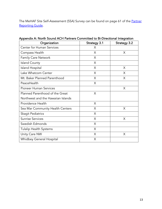The MeHAF Site Self-Assessment (SSA) Survey can be found on page 61 of the Partner Reporting Guide.

| Organization                       | <b>Strategy 3.1</b> | <b>Strategy 3.2</b> |
|------------------------------------|---------------------|---------------------|
| Center for Human Services          | X                   |                     |
| Compass Health                     | X                   | X                   |
| <b>Family Care Network</b>         | X                   |                     |
| <b>Island County</b>               | $\times$            |                     |
| <b>Island Hospital</b>             | $\times$            | X                   |
| Lake Whatcom Center                | $\times$            | X                   |
| Mt. Baker Planned Parenthood       | X                   | X                   |
| PeaceHealth                        | X                   |                     |
| Pioneer Human Services             |                     | X                   |
| Planned Parenthood of the Great    | X                   |                     |
| Northwest and the Hawaiian Islands |                     |                     |
| Providence Health                  | X                   |                     |
| Sea Mar Community Health Centers   | $\times$            | $\times$            |
| <b>Skagit Pediatrics</b>           | X                   |                     |
| <b>Sunrise Services</b>            | X                   | X                   |
| Swedish Edmonds                    | X                   |                     |
| <b>Tulalip Health Systems</b>      | X                   |                     |
| Unity Care NW                      | X                   | X                   |
| Whidbey General Hospital           | X                   |                     |

Appendix A: North Sound ACH Partners Committed to Bi-Directional Integration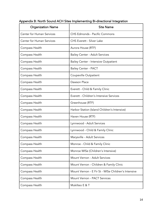| <b>Organization Name</b>         | <b>Site Name</b>                                    |  |  |  |
|----------------------------------|-----------------------------------------------------|--|--|--|
| <b>Center for Human Services</b> | CHS Edmonds - Pacific Commons                       |  |  |  |
| <b>Center for Human Services</b> | <b>CHS Everett - Silver Lake</b>                    |  |  |  |
| Compass Health                   | Aurora House (RTF)                                  |  |  |  |
| Compass Health                   | <b>Bailey Center - Adult Services</b>               |  |  |  |
| Compass Health                   | <b>Bailey Center - Intensive Outpatient</b>         |  |  |  |
| Compass Health                   | <b>Bailey Center - PACT</b>                         |  |  |  |
| Compass Health                   | Coupeville Outpatient                               |  |  |  |
| Compass Health                   | Dawson Place                                        |  |  |  |
| Compass Health                   | Everett - Child & Family Clinic                     |  |  |  |
| Compass Health                   | Everett - Children's Intensive Services             |  |  |  |
| Compass Health                   | Greenhouse (RTF)                                    |  |  |  |
| Compass Health                   | Harbor Station (Island Children's Intensive)        |  |  |  |
| Compass Health                   | Haven House (RTF)                                   |  |  |  |
| Compass Health                   | Lynnwood - Adult Services                           |  |  |  |
| Compass Health                   | Lynnwood - Child & Family Clinic                    |  |  |  |
| Compass Health                   | Marysville - Adult Services                         |  |  |  |
| Compass Health                   | Monroe - Child & Family Clinic                      |  |  |  |
| Compass Health                   | Monroe WISe (Children's Intensive)                  |  |  |  |
| Compass Health                   | Mount Vernon - Adult Services                       |  |  |  |
| Compass Health                   | Mount Vernon - Children & Family Clinic             |  |  |  |
| Compass Health                   | Mount Vernon - E Fir St - WISe Children's Intensive |  |  |  |
| Compass Health                   | Mount Vernon - PACT Services                        |  |  |  |
| Compass Health                   | Mukilteo E & T                                      |  |  |  |

# Appendix B: North Sound ACH Sites Implementing Bi-directional Integration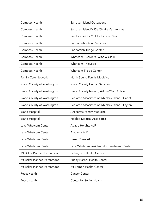| Compass Health              | San Juan Island Outpatient                      |
|-----------------------------|-------------------------------------------------|
| Compass Health              | San Juan Island WISe Children's Intensive       |
| Compass Health              | Smokey Point - Child & Family Clinic            |
| Compass Health              | Snohomish - Adult Services                      |
| Compass Health              | Snohomish Triage Center                         |
| Compass Health              | Whatcom - Cordata (WISe & CPIT)                 |
| Compass Health              | Whatcom - McLeod                                |
| Compass Health              | <b>Whatcom Triage Center</b>                    |
| <b>Family Care Network</b>  | North Sound Family Medicine                     |
| Island County of Washington | <b>Island County Human Services</b>             |
| Island County of Washington | Island County Nursing Admin/Main Office         |
| Island County of Washington | Pediatric Associates of Whidbey Island - Cabot  |
| Island County of Washington | Pediatric Associates of Whidbey Island - Layton |
| Island Hospital             | <b>Anacortes Family Medicine</b>                |
| Island Hospital             | <b>Fidalgo Medical Associates</b>               |
| Lake Whatcom Center         | Agage Heights ALF                               |
| Lake Whatcom Center         | Alabama ALF                                     |
| Lake Whatcom Center         | <b>Baker Creek ALF</b>                          |
| Lake Whatcom Center         | Lake Whatcom Residential & Treatment Center     |
| Mt Baker Planned Parenthood | Bellingham Health Center                        |
| Mt Baker Planned Parenthood | Friday Harbor Health Center                     |
| Mt Baker Planned Parenthood | Mt Vernon Health Center                         |
| PeaceHealth                 | <b>Cancer Center</b>                            |
| PeaceHealth                 | Center for Senior Health                        |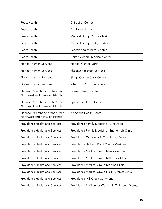| PeaceHealth                                                       | Childbirth Center                                  |
|-------------------------------------------------------------------|----------------------------------------------------|
| PeaceHealth                                                       | <b>Family Medicine</b>                             |
| PeaceHealth                                                       | Medical Group Cordata Main                         |
| PeaceHealth                                                       | Medical Group Friday Harbor                        |
| PeaceHealth                                                       | <b>Peacelsland Medical Center</b>                  |
| PeaceHealth                                                       | United General Medical Center                      |
| <b>Pioneer Human Services</b>                                     | Pioneer Center North                               |
| <b>Pioneer Human Services</b>                                     | <b>Phoenix Recovery Services</b>                   |
| Pioneer Human Services                                            | <b>Skagit County Crisis Center</b>                 |
| Pioneer Human Services                                            | <b>Whatcom Community Detox</b>                     |
| Planned Parenthood of the Great<br>Northwest and Hawaiian Islands | <b>Everett Health Center</b>                       |
| Planned Parenthood of the Great<br>Northwest and Hawaiian Islands | Lynnwood Health Center                             |
| Planned Parenthood of the Great<br>Northwest and Hawaiian Islands | Marysville Health Center                           |
| Providence Health and Services                                    | Providence Family Medicine - Lynnwood              |
| Providence Health and Services                                    | Providence Family Medicine - Snohomish Clinic      |
| Providence Health and Services                                    | Providence Gynecologic Oncology - Everett          |
| <b>Providence Health and Services</b>                             | Providence Harbour Point Clinic - Mukilteo         |
| Providence Health and Services                                    | Providence Medical Group Marysville Clinic         |
| Providence Health and Services                                    | Providence Medical Group Mill Creek Clinic         |
| Providence Health and Services                                    | Providence Medical Group Monroe Clinic             |
| <b>Providence Health and Services</b>                             | Providence Medical Group North Everett Clinic      |
| <b>Providence Health and Services</b>                             | Providence Mill Creek Commons                      |
| Providence Health and Services                                    | Providence Pavilion for Women & Children - Everett |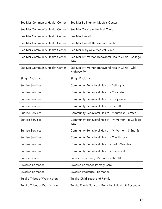| Sea Mar Community Health Center | Sea Mar Bellingham Medical Center                               |
|---------------------------------|-----------------------------------------------------------------|
| Sea Mar Community Health Center | Sea Mar Concrete Medical Clinic                                 |
| Sea Mar Community Health Center | Sea Mar Everett                                                 |
| Sea Mar Community Health Center | Sea Mar Everett Behavioral Health                               |
| Sea Mar Community Health Center | Sea Mar Marysville Medical Clinic                               |
| Sea Mar Community Health Center | Sea Mar Mt. Vernon Behavioral Health Clinic - College<br>Way    |
| Sea Mar Community Health Center | Sea Mar Mt. Vernon Behavioral Health Clinic - Old<br>Highway 99 |
| Skagit Pediatrics               | <b>Skagit Pediatrics</b>                                        |
| <b>Sunrise Services</b>         | Community Behavioral Health - Bellingham                        |
| <b>Sunrise Services</b>         | Community Behavioral Health - Concrete                          |
| <b>Sunrise Services</b>         | Community Behavioral Health - Coupeville                        |
| <b>Sunrise Services</b>         | Community Behavioral Health - Everett                           |
| <b>Sunrise Services</b>         | Community Behavioral Health - Mountlake Terrace                 |
| <b>Sunrise Services</b>         | Community Behavioral Health - Mt Vernon - E College<br>Way      |
| <b>Sunrise Services</b>         | Community Behavioral Health - Mt Vernon - S 2nd St              |
| <b>Sunrise Services</b>         | Community Behavioral Health - Oak Harbor                        |
| <b>Sunrise Services</b>         | Community Behavioral Health - Sedro Woolley                     |
| <b>Sunrise Services</b>         | Community Behavioral Health - Stanwood                          |
| <b>Sunrise Services</b>         | Sunrise Community Mental Health - 1021                          |
| Swedish Edmonds                 | Swedish Edmonds Primary Care                                    |
| Swedish Edmonds                 | Swedish Pediatrics - Edmonds                                    |
| Tulalip Tribes of Washington    | Tulalip Child Youth and Family                                  |
| Tulalip Tribes of Washington    | Tulalip Family Services (Behavioral Health & Recovery)          |